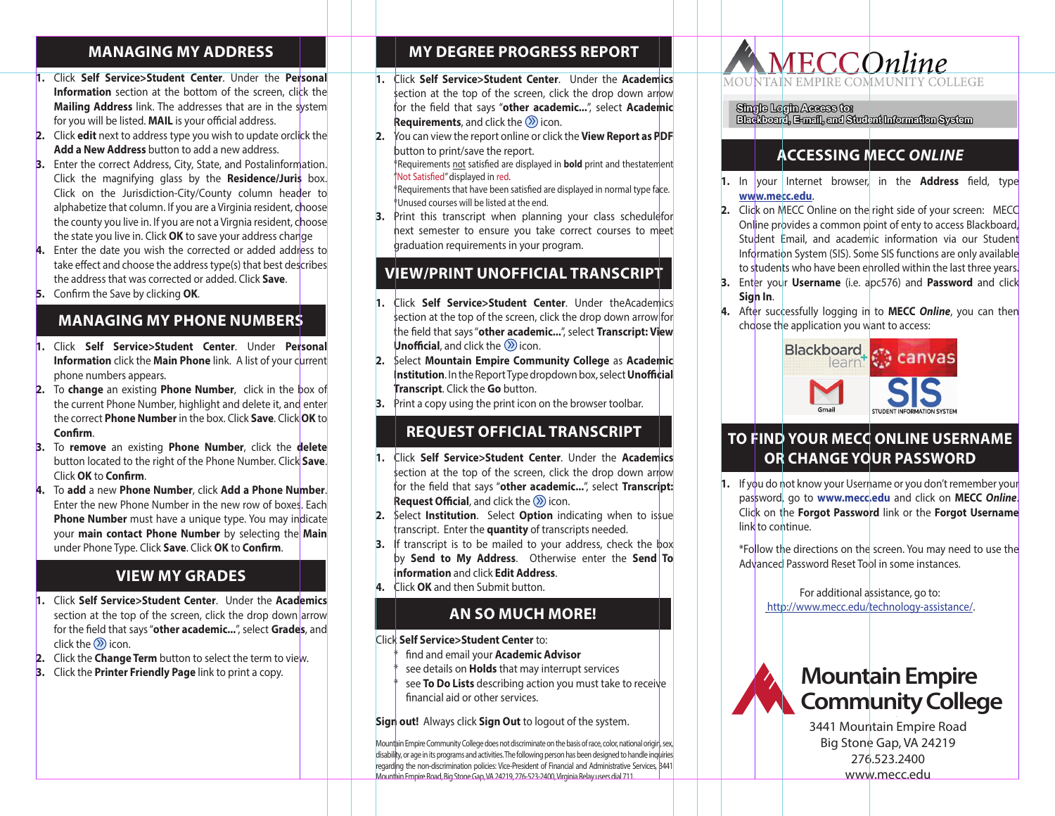#### **MANAGING MY ADDRESS** screen**,** click the **Mailing Address** link. The addresses

**1.** Click **Self Service>Student Center.** Under the

- **1.** Click Self Service>Student Center. Under the Personal **Information** section at the bottom of the screen, click the **2.** Mailing Address link. The bottom or the screen, click the system for you will be listed. **MAIL** is your official address. **Personal Mailing Address link. The addresses that are in**
- **2.** Click **edit** next to address type you wish to update orclick the **Add a New Address** button to add a new address.
- **3.** Enter the correct Address, City, State, and Postalinformation. **S.** Either the correct Address, City, State, and Fostal Information. Click on the Jurisdiction-City/County column header to **Residence/Juris** box. Click on the Jurisdiction-City/ alphabetize that column. If you are a Virginia resident, choose the county you live in. If you are not a Virgnia resident, choose the state you live in. Click **OK** to save your address change  $Click on the Jurisdition-City/Country column header to$ alphabetize that column, if you are a virginal resi<sup>d</sup>  $\parallel$  the county you live in. If you are not a Virgnia address.
- 4. Enter the date you wish the corrected or added address to take effect and choose the address type(s) that best describes the address that was corrected or added. Click Save.
- **5.** Confirm the Save by clicking **OK**. **Save**. **EXAMPLE CONSTRUCTED CONSTRUCTS**<br>**International Confirm the Save by clicking OK 4.** Enter the date you wish the corrected or added address

#### **TO MANAGING MY PHONE NUMBERS 4.** Enter the date you wish the corrected or added address describes the address that was corrected or added. Click describes that was corrected or additional click or additional click or address that was corrected or added. C

- **1.** Click Self Service>Student Center. Under Personal **1.** Click Sem Service Student Center. Onder Personal Information click the Main Phone link. A list of your current phone numbers appears.
- **2.** To **change** an existing **Phone Number**, click in the box of **Information Chains Contribution Contribution Chain Phone Number, highlight and delete it, and enter** the carent Friber Namber, highlight and detect it, and ence **Confirm**. **2**. To **change** an existing **Phone Number,** click in the **Commission Commission Commission Commission Commission Commission Commission Commission Commission Commission Information**  $\mathbf{R}$  **is the Main Phone link. A list of your phone link. A list of your phone link. A list of your phone link. A list of your phone link. A list of your phone link. A list of your phone link. A list of your Information Community Continuity** community  $\mathbf{A}$  is the set of  $\mathbf{A}$  is  $\mathbf{A}$  and  $\mathbf{A}$  is a list of  $\mathbf{A}$  is a list of  $\mathbf{A}$  is a list of  $\mathbf{A}$  is a list of  $\mathbf{A}$  is a list of  $\mathbf{A}$  is a lis
- **3.** To remove an existing Phone Number, click the **delete** button located to the right of the Phone Number. Click Save. **Save Click OK** to **Confirm.**
- 4. To add a new Phone Number, click Add a Phone Number. **delete** button locate wind of the right of the right of the Fach same Each context **C** to the Phone Number. **In** the new phone Number. *Sath* **Phone Number** must have a unique type. You may indicate your main contact Phone Number by selecting the Main under Phone Type. Click Save. Click OK to Confirm.

#### **VIEW MY GRADES Number by School Add a new Avus Add a new Addres** Number in the new row of  $\mathbb{R}$ 4. To **add** a new **Phone Number**, click **Add a Phone** boxes. Each **Phone Number** must have a unique type. **Number 2011 Number in the Number in the Number in the new row of the new role in the new role in the new role in the new role in the new role in the new role in the new role in the new role in the new role in the new ro**

**1.** Click Self Service>Student Center. Under the Academics section at the top of the screen, click the drop down arrow **for the field that says "other academic..."**, select **Grades**, and click the  $\circledS$  icon. 1. Click Self Service>Student Center. Under the Acac **To Check belt betwice by suddent center.** Under the

down arrow for the field that says "**other academic...**",

**2.** Click the **Change Term** button to select the term to view. **3.** Click the **Printer Friendly Page** link to print a copy.

**2.** Click the **Change Term** button to select the term to view.

**2.** Click the **Change Term** button to select the term to view. **3.** Click the **Printer Friendly Page** link to print a copy.

**3.** Click the **Printer Friendly Page** link to print a copy.  $\begin{bmatrix} \phantom{\big|} \phantom{\Big|} \end{bmatrix}$ **Academics** section at the top of the screen, click the drop 1. Click **Self Service>Student Center**. Under the

down arrow for the field that says "**other academic...**",

select **Grades**, and click the icon.

**Academics** section at the top of the screen, click the drop down arrow for the field that says "**other academic...**",

**2.** Click the **Change Term** button to select the term to view. **3.** Click the **Printer Friendly Page** link to print a copy.

Last Updated 4/6/2017

select **Grades**, and click the icon.

#### **MY DEGREE PROGRESS REPORT** down arrow for the field that says  $\begin{bmatrix} 1 \\ 1 \end{bmatrix}$ **My Degree Progress Report**

**1.** Click **Self Service>Student Center.** Under the

- 1. Click Self Service>Student Center. Under the Academics section at the top of the screen, click the drop down arrow for the field that says "other academic...", select Academic **Requirements**, and click the  $\oslash$  icon.
- 2. You can view the report online or click the View Report as PDF **Example 1** button to print/save the report.

**the fact of the report as PDF** button to print/save the report. mediate the end.<br>
\*Not Satisfied" displayed in red.

**Example 1** Requirements that have been satisfied are displayed in normal type face. and the state of the state of the state of the end.

3. Print this transcript when planning your class schedulefor the course is a control of the listen courses will be listed at the listed at the listed at the listed at the listed at the listed at the listed at the listed at the listed at the listed at the listed at the listed at the **1.** Print Unit Unit this transcription requirements in your program.  $3.$  $\frac{1}{\sqrt{2}}$  securities to ensure the sure your program.

### **MEET SERVICE SERVICE SERVICES IN SERVICE SERVICE SERVICE SINCE SERVICE SINCE SERVICE SINCE SERVICE SINCE SERVICE SINCE SERVICE SINCE SINCE SINCE SINCE SINCE SINCE SINCE SINCE SINCE SINCE SINCE SINCE SINCE SINCE SINCE SINC Academics** section at the top of the screen, click the drop

for next semester to ensure you take correct courses to

- **1.** Click Self Service>Student Center. Under theAcademics **Example 1** section at the top of the screen, click the drop down arrow for the field that says "other academic...", select Transcript: View **Unofficial**, and click the *O* icon.
- 2. Select Mountain Empire Community College as Academic **Institution**. In the Report Type dropdown box, select **Unofficial Transcript**. Click the Go button. 2. Select **Monday Community Community Community Community Community Community Community Community Community Community Community Community Community Community Community Community Community Community Community Community Comm According Transcript.** Click the **do** button.
- **12. Print a copy using the print icon on the browser toolbar.**<br>**A.** Print a copy using the print icon on the browser toolbar. **Request Official Transcript 3.** Print a copy using the print icon on the brows **s.** Print a copy using the print icon on the br

#### $\begin{array}{c} \texttt{REQUEST OFFICIAL TRANSCRIPT} \end{array}$ **2. PRINT A COPY USING THE PRINC ON THE BROWSER TO ANGLE IS A COPY USING COPY**

- **1.** Click Self Service>Student Center. Under the Academics **section at the top of the screen, click the drop down arrow** for the field that says "**other academic...**", select **Transcript: Replacing Request Official**, and click the  $\oslash$  icon. **1.** Section at the top of the screen, check the service of the service of the service of the service of the service of the service of the service of the service of the service of the service of the service of the service **According to the section at the section at the screen, click the screen, contract the drop of the screen, contract the drop of the drop of the drop of the drop of the drop of the drop of the drop of the drop of the drop o**
- 2. Select **Institution**. Select **Option** indicating when to issue **1** transcript. Enter the **quantity** of transcripts needed.
- 3. If transcript is to be mailed to your address, check the box **by Send to My Address.** Otherwise enter the **Send To information** and click **Edit Address**. **Information** and click Edit Address.
- **4.** Click **OK** and then Submit button. **information and click Edit Address.**

# **AN SO MUCH MORE!**

Click **Self Service>Student Center** to: Click **Self Service>Student Center** to: **And so much more! And so much more!** 

Big Stone Gap, VA 24219, 276-523-2400, Virginia Relay users dial 711.

- <sup>\*</sup> find and email your **Academic Advisor**
- <sup>\*</sup> see details on **Holds** that may interrupt services
	- see to **Do Lists** describing action you must take to receive \*see **To Do Lists** describing action you must take the services. see **to bo Lists** describing action you must

**Sign out!** Always click **Sign Out** to logout of the system. **Sign out!** Always click **Sign Out** to logout of the system. **Sign out!** Always click **Sign Out** to logout of the system. receive financial and or other services.

Mountain Empire Community College does not discriminate on the basis of race, color, national origin, sex, disability, or age in its programs and activities. The following person has been designed to handle inquiries regarding the non-discrimination policies: Vice-President of Financial and Administrative Services, 3441 Mountain Empire Road, Big Stone Gap, VA 24219, 276-523-2400, Virginia Relay users dial 711.



**Accessing MECC** *Online* **Single Login Access to:** 

**1.** In your Internet browser, in the **Address** field, type

## **ACCESSING MECC** *ONLINE* **www.mecc.edu.** <code>[2011</code> **ACCESSING MECC** *ONLINE*

- 1. In your Internet browser, in the **Address** field, type **www.mecc.edu**. **www.mecc.edu.** access Blackboard, Student Email, and academic **www.**
- **2.** Click on MECC Online on the right side of your screen: MECC 2. Click of MECC Office of the right side of your screen. MECC<br>Online provides a common point of enty to access Blackboard, Student Email, and academic information via our Student Information System (SIS). Some SIS functions are only available to students who have been enrolled within the last three years.
- **3.** Enter your **Username** (i.e. apc576) and **Password** and click enrolled with the last three years. **4.** After successfully logging in to **MECC** *Online,* you can enrolled with the second with the last three years.
- 4. After successfully logging in to MECC Online, you can then choose the application you want to access: click **Sign In.**



## **TO FIND YOUR MECC ONLINE USERNAME or Change Your Password THE FIND OR CHANGE YOUR PASSWORD To Find your MECC Online Username**

**1.** If you do not know your Username or you don't remember your myou do not know your osenance or you don't remember your password, go to www.mecc.edu and click on **MECC Online.** password, go to **www.incecteda** and thek on **inclee online.**<br>Click on the **Forgot Password** link or the **Forgot Username** remember to wave to wave and click mind of the congregation of the congregation of the congregation of the congregation of the congregation of the congregation of the congregation of the congregation of the congregation of the Forgot Password link of the Forgot of **1.** If you have been worked with the second link or you do not know your USE of the Second Link or  $\frac{1}{2}$  $\sim$  MECC CONLINE.

 $\begin{array}{c|c}\n\hline\n\end{array}$  \*Follow the directions on the screen. You may need to use the Follow the directions on the screen. You may need to use the Advanced Password Reset Tool in some instances.  $\begin{bmatrix} 1 & 1 \end{bmatrix}$   $\begin{bmatrix} 1 & 1 \end{bmatrix}$   $\begin{bmatrix} 1 & 0 \end{bmatrix}$  to the directions on the continue. \* Follow the directions on the screen. You may need to

**technology-assistance** assistance, go to: http://www.mecc.edu/technology-assistance/. For additional assistance, go to http://www.mecc.edu/ use the Advanced Password Reset Tool in some instances. technology-assistance/.

**MOUNTAIN EMPIRE COMMUNITY COLLEGE 3441 MOUNTAIN EMPIRE ROAD**

**276-523-2400** 



technology-assistance/.

**19441 Mountain Empire Road** Big Stone Gap, VA 24219 276.523.2400 www.mecc.edu **276-523-2400**